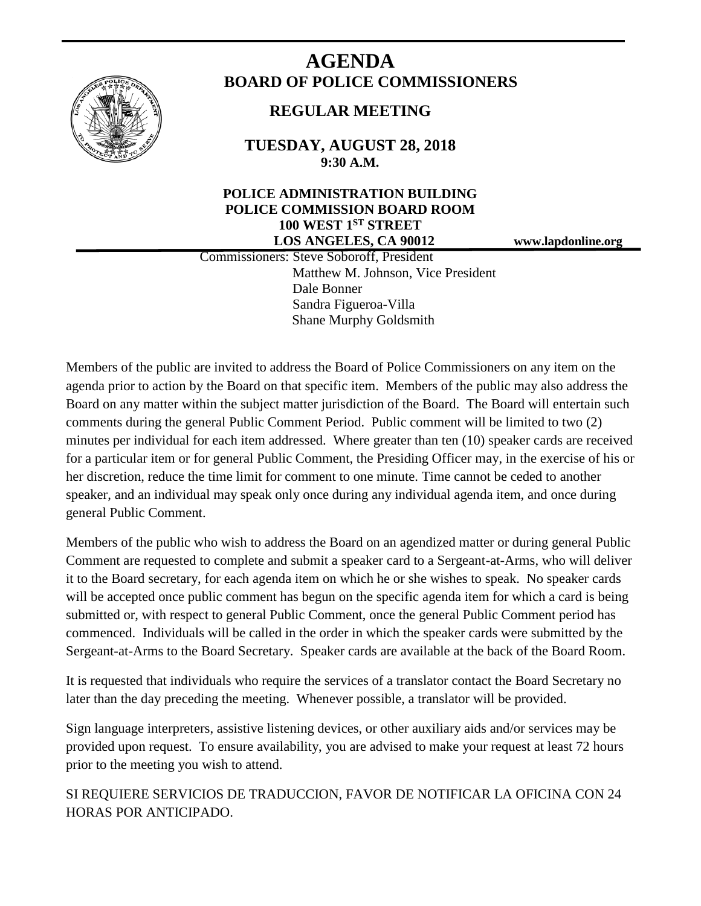

# **AGENDA BOARD OF POLICE COMMISSIONERS**

# **REGULAR MEETING**

**TUESDAY, AUGUST 28, 2018 9:30 A.M.**

# **POLICE ADMINISTRATION BUILDING POLICE COMMISSION BOARD ROOM 100 WEST 1ST STREET LOS ANGELES, CA 90012 www.lapdonline.org**

 Commissioners: Steve Soboroff, President Matthew M. Johnson, Vice President Dale Bonner Sandra Figueroa-Villa Shane Murphy Goldsmith

Members of the public are invited to address the Board of Police Commissioners on any item on the agenda prior to action by the Board on that specific item. Members of the public may also address the Board on any matter within the subject matter jurisdiction of the Board. The Board will entertain such comments during the general Public Comment Period. Public comment will be limited to two (2) minutes per individual for each item addressed. Where greater than ten (10) speaker cards are received for a particular item or for general Public Comment, the Presiding Officer may, in the exercise of his or her discretion, reduce the time limit for comment to one minute. Time cannot be ceded to another speaker, and an individual may speak only once during any individual agenda item, and once during general Public Comment.

Members of the public who wish to address the Board on an agendized matter or during general Public Comment are requested to complete and submit a speaker card to a Sergeant-at-Arms, who will deliver it to the Board secretary, for each agenda item on which he or she wishes to speak. No speaker cards will be accepted once public comment has begun on the specific agenda item for which a card is being submitted or, with respect to general Public Comment, once the general Public Comment period has commenced. Individuals will be called in the order in which the speaker cards were submitted by the Sergeant-at-Arms to the Board Secretary. Speaker cards are available at the back of the Board Room.

It is requested that individuals who require the services of a translator contact the Board Secretary no later than the day preceding the meeting. Whenever possible, a translator will be provided.

Sign language interpreters, assistive listening devices, or other auxiliary aids and/or services may be provided upon request. To ensure availability, you are advised to make your request at least 72 hours prior to the meeting you wish to attend.

SI REQUIERE SERVICIOS DE TRADUCCION, FAVOR DE NOTIFICAR LA OFICINA CON 24 HORAS POR ANTICIPADO.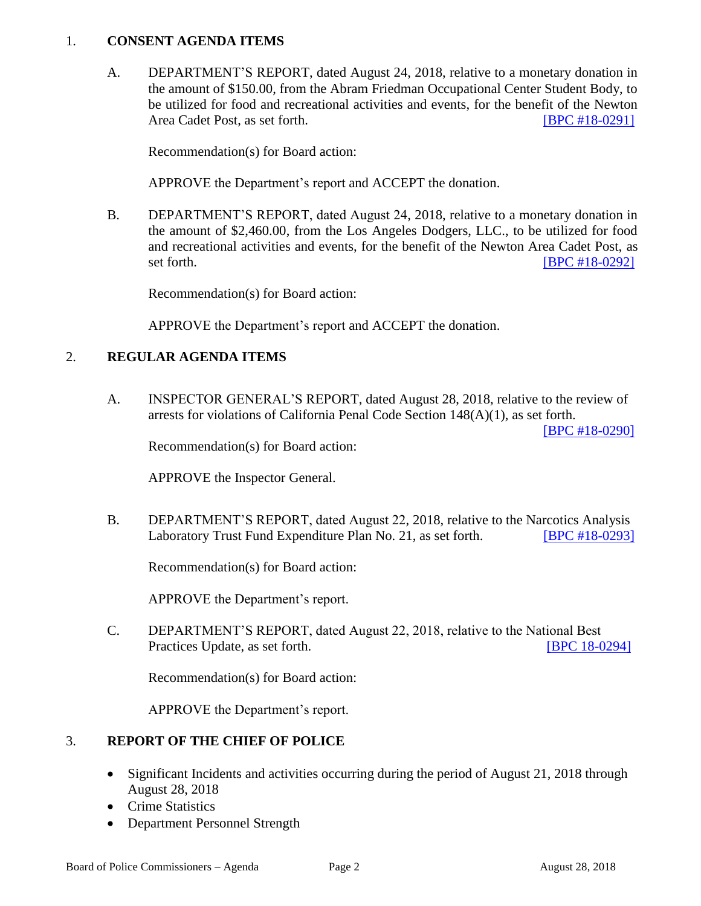### 1. **CONSENT AGENDA ITEMS**

A. DEPARTMENT'S REPORT, dated August 24, 2018, relative to a monetary donation in the amount of \$150.00, from the Abram Friedman Occupational Center Student Body, to be utilized for food and recreational activities and events, for the benefit of the Newton Area Cadet Post, as set forth. **IDPC #18-0291** 

Recommendation(s) for Board action:

APPROVE the Department's report and ACCEPT the donation.

B. DEPARTMENT'S REPORT, dated August 24, 2018, relative to a monetary donation in the amount of \$2,460.00, from the Los Angeles Dodgers, LLC., to be utilized for food and recreational activities and events, for the benefit of the Newton Area Cadet Post, as set forth. **IBPC #18-0292** 

Recommendation(s) for Board action:

APPROVE the Department's report and ACCEPT the donation.

# 2. **REGULAR AGENDA ITEMS**

A. INSPECTOR GENERAL'S REPORT, dated August 28, 2018, relative to the review of arrests for violations of California Penal Code Section 148(A)(1), as set forth.

[\[BPC #18-0290\]](http://www.lapdpolicecom.lacity.org/082818/BPC_18-0290.pdf)

Recommendation(s) for Board action:

APPROVE the Inspector General.

B. DEPARTMENT'S REPORT, dated August 22, 2018, relative to the Narcotics Analysis Laboratory Trust Fund Expenditure Plan No. 21, as set forth. **[\[BPC #18-0293\]](http://www.lapdpolicecom.lacity.org/082818/BPC_18-0293.pdf)** 

Recommendation(s) for Board action:

APPROVE the Department's report.

C. DEPARTMENT'S REPORT, dated August 22, 2018, relative to the National Best Practices Update, as set forth. [\[BPC 18-0294\]](http://www.lapdpolicecom.lacity.org/082818/BPC_18-0294.pdf)

Recommendation(s) for Board action:

APPROVE the Department's report.

#### 3. **REPORT OF THE CHIEF OF POLICE**

- Significant Incidents and activities occurring during the period of August 21, 2018 through August 28, 2018
- Crime Statistics
- Department Personnel Strength